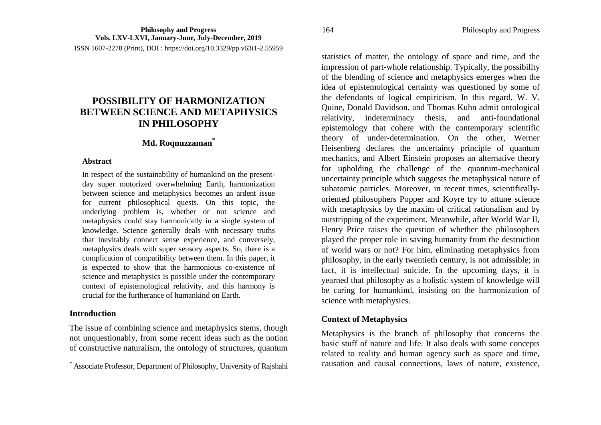# **POSSIBILITY OF HARMONIZATION BETWEEN SCIENCE AND METAPHYSICS IN PHILOSOPHY**

## **Md. Roqnuzzaman\***

#### **Abstract**

In respect of the sustainability of humankind on the presentday super motorized overwhelming Earth, harmonization between science and metaphysics becomes an ardent issue for current philosophical quests. On this topic, the underlying problem is, whether or not science and metaphysics could stay harmonically in a single system of knowledge. Science generally deals with necessary truths that inevitably connect sense experience, and conversely, metaphysics deals with super sensory aspects. So, there is a complication of compatibility between them. In this paper, it is expected to show that the harmonious co-existence of science and metaphysics is possible under the contemporary context of epistemological relativity, and this harmony is crucial for the furtherance of humankind on Earth.

## **Introduction**

 $\overline{a}$ 

The issue of combining science and metaphysics stems, though not unquestionably, from some recent ideas such as the notion of constructive naturalism, the ontology of structures, quantum statistics of matter, the ontology of space and time, and the impression of part-whole relationship. Typically, the possibility of the blending of science and metaphysics emerges when the idea of epistemological certainty was questioned by some of the defendants of logical empiricism. In this regard, W. V. Quine, Donald Davidson, and Thomas Kuhn admit ontological relativity, indeterminacy thesis, and anti-foundational epistemology that cohere with the contemporary scientific theory of under-determination. On the other, Werner Heisenberg declares the uncertainty principle of quantum mechanics, and Albert Einstein proposes an alternative theory for upholding the challenge of the quantum-mechanical uncertainty principle which suggests the metaphysical nature of subatomic particles. Moreover, in recent times, scientificallyoriented philosophers Popper and Koyre try to attune science with metaphysics by the maxim of critical rationalism and by outstripping of the experiment. Meanwhile, after World War II, Henry Price raises the question of whether the philosophers played the proper role in saving humanity from the destruction of world wars or not? For him, eliminating metaphysics from philosophy, in the early twentieth century, is not admissible; in fact, it is intellectual suicide. In the upcoming days, it is yearned that philosophy as a holistic system of knowledge will be caring for humankind, insisting on the harmonization of science with metaphysics.

## **Context of Metaphysics**

Metaphysics is the branch of philosophy that concerns the basic stuff of nature and life. It also deals with some concepts related to reality and human agency such as space and time, causation and causal connections, laws of nature, existence,

<sup>\*</sup> Associate Professor, Department of Philosophy, University of Rajshahi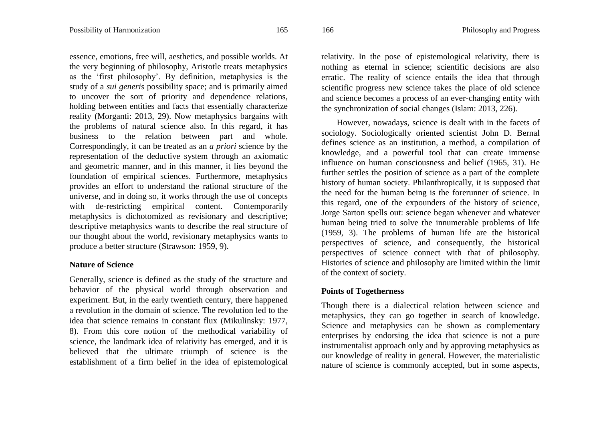essence, emotions, free will, aesthetics, and possible worlds. At the very beginning of philosophy, Aristotle treats metaphysics as the "first philosophy". By definition, metaphysics is the study of a *sui generis* possibility space; and is primarily aimed to uncover the sort of priority and dependence relations, holding between entities and facts that essentially characterize reality (Morganti: 2013, 29). Now metaphysics bargains with the problems of natural science also. In this regard, it has business to the relation between part and whole. Correspondingly, it can be treated as an *a priori* science by the representation of the deductive system through an axiomatic and geometric manner, and in this manner, it lies beyond the foundation of empirical sciences. Furthermore, metaphysics provides an effort to understand the rational structure of the universe, and in doing so, it works through the use of concepts with de-restricting empirical content. Contemporarily metaphysics is dichotomized as revisionary and descriptive; descriptive metaphysics wants to describe the real structure of our thought about the world, revisionary metaphysics wants to produce a better structure (Strawson: 1959, 9).

## **Nature of Science**

Generally, science is defined as the study of the structure and behavior of the physical world through observation and experiment. But, in the early twentieth century, there happened a revolution in the domain of science. The revolution led to the idea that science remains in constant flux (Mikulinsky: 1977, 8). From this core notion of the methodical variability of science, the landmark idea of relativity has emerged, and it is believed that the ultimate triumph of science is the establishment of a firm belief in the idea of epistemological

relativity. In the pose of epistemological relativity, there is nothing as eternal in science; scientific decisions are also erratic. The reality of science entails the idea that through scientific progress new science takes the place of old science and science becomes a process of an ever-changing entity with the synchronization of social changes (Islam: 2013, 226).

However, nowadays, science is dealt with in the facets of sociology. Sociologically oriented scientist John D. Bernal defines science as an institution, a method, a compilation of knowledge, and a powerful tool that can create immense influence on human consciousness and belief (1965, 31). He further settles the position of science as a part of the complete history of human society. Philanthropically, it is supposed that the need for the human being is the forerunner of science. In this regard, one of the expounders of the history of science, Jorge Sarton spells out: science began whenever and whatever human being tried to solve the innumerable problems of life (1959, 3). The problems of human life are the historical perspectives of science, and consequently, the historical perspectives of science connect with that of philosophy. Histories of science and philosophy are limited within the limit of the context of society.

## **Points of Togetherness**

Though there is a dialectical relation between science and metaphysics, they can go together in search of knowledge. Science and metaphysics can be shown as complementary enterprises by endorsing the idea that science is not a pure instrumentalist approach only and by approving metaphysics as our knowledge of reality in general. However, the materialistic nature of science is commonly accepted, but in some aspects,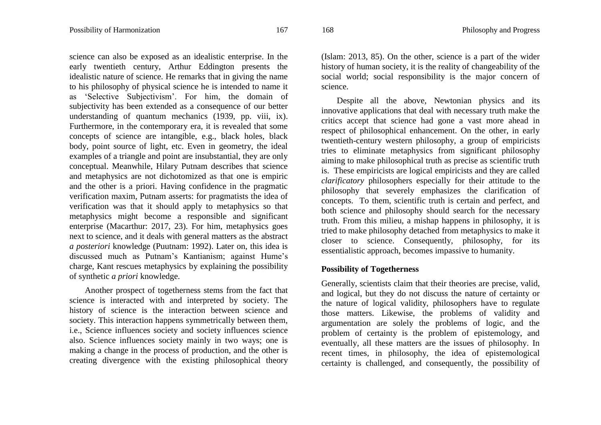science can also be exposed as an idealistic enterprise. In the early twentieth century, Arthur Eddington presents the idealistic nature of science. He remarks that in giving the name to his philosophy of physical science he is intended to name it as "Selective Subjectivism". For him, the domain of subjectivity has been extended as a consequence of our better understanding of quantum mechanics (1939, pp. viii, ix). Furthermore, in the contemporary era, it is revealed that some concepts of science are intangible, e.g., black holes, black body, point source of light, etc. Even in geometry, the ideal examples of a triangle and point are insubstantial, they are only conceptual. Meanwhile, Hilary Putnam describes that science and metaphysics are not dichotomized as that one is empiric and the other is a priori. Having confidence in the pragmatic verification maxim, Putnam asserts: for pragmatists the idea of verification was that it should apply to metaphysics so that metaphysics might become a responsible and significant enterprise (Macarthur: 2017, 23). For him, metaphysics goes next to science, and it deals with general matters as the abstract *a posteriori* knowledge (Puutnam: 1992). Later on, this idea is discussed much as Putnam"s Kantianism; against Hume"s charge, Kant rescues metaphysics by explaining the possibility of synthetic *a priori* knowledge.

Another prospect of togetherness stems from the fact that science is interacted with and interpreted by society. The history of science is the interaction between science and society. This interaction happens symmetrically between them, i.e., Science influences society and society influences science also. Science influences society mainly in two ways; one is making a change in the process of production, and the other is creating divergence with the existing philosophical theory

(Islam: 2013, 85). On the other, science is a part of the wider history of human society, it is the reality of changeability of the social world; social responsibility is the major concern of science.

Despite all the above, Newtonian physics and its innovative applications that deal with necessary truth make the critics accept that science had gone a vast more ahead in respect of philosophical enhancement. On the other, in early twentieth-century western philosophy, a group of empiricists tries to eliminate metaphysics from significant philosophy aiming to make philosophical truth as precise as scientific truth is. These empiricists are logical empiricists and they are called *clarificatory* philosophers especially for their attitude to the philosophy that severely emphasizes the clarification of concepts. To them, scientific truth is certain and perfect, and both science and philosophy should search for the necessary truth. From this milieu, a mishap happens in philosophy, it is tried to make philosophy detached from metaphysics to make it closer to science. Consequently, philosophy, for its essentialistic approach, becomes impassive to humanity.

## **Possibility of Togetherness**

Generally, scientists claim that their theories are precise, valid, and logical, but they do not discuss the nature of certainty or the nature of logical validity, philosophers have to regulate those matters. Likewise, the problems of validity and argumentation are solely the problems of logic, and the problem of certainty is the problem of epistemology, and eventually, all these matters are the issues of philosophy. In recent times, in philosophy, the idea of epistemological certainty is challenged, and consequently, the possibility of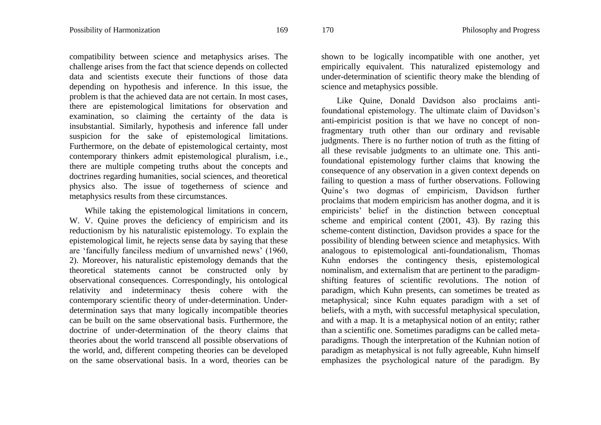compatibility between science and metaphysics arises. The challenge arises from the fact that science depends on collected data and scientists execute their functions of those data depending on hypothesis and inference. In this issue, the problem is that the achieved data are not certain. In most cases, there are epistemological limitations for observation and examination, so claiming the certainty of the data is insubstantial. Similarly, hypothesis and inference fall under suspicion for the sake of epistemological limitations. Furthermore, on the debate of epistemological certainty, most contemporary thinkers admit epistemological pluralism, i.e., there are multiple competing truths about the concepts and doctrines regarding humanities, social sciences, and theoretical physics also. The issue of togetherness of science and metaphysics results from these circumstances.

While taking the epistemological limitations in concern, W. V. Quine proves the deficiency of empiricism and its reductionism by his naturalistic epistemology. To explain the epistemological limit, he rejects sense data by saying that these are "fancifully fanciless medium of unvarnished news" (1960, 2). Moreover, his naturalistic epistemology demands that the theoretical statements cannot be constructed only by observational consequences. Correspondingly, his ontological relativity and indeterminacy thesis cohere with the contemporary scientific theory of under-determination. Underdetermination says that many logically incompatible theories can be built on the same observational basis. Furthermore, the doctrine of under-determination of the theory claims that theories about the world transcend all possible observations of the world, and, different competing theories can be developed on the same observational basis. In a word, theories can be

shown to be logically incompatible with one another, yet empirically equivalent. This naturalized epistemology and under-determination of scientific theory make the blending of science and metaphysics possible.

Like Quine, Donald Davidson also proclaims antifoundational epistemology. The ultimate claim of Davidson"s anti-empiricist position is that we have no concept of nonfragmentary truth other than our ordinary and revisable judgments. There is no further notion of truth as the fitting of all these revisable judgments to an ultimate one. This antifoundational epistemology further claims that knowing the consequence of any observation in a given context depends on failing to question a mass of further observations. Following Quine"s two dogmas of empiricism, Davidson further proclaims that modern empiricism has another dogma, and it is empiricists" belief in the distinction between conceptual scheme and empirical content (2001, 43). By razing this scheme-content distinction, Davidson provides a space for the possibility of blending between science and metaphysics. With analogous to epistemological anti-foundationalism, Thomas Kuhn endorses the contingency thesis, epistemological nominalism, and externalism that are pertinent to the paradigmshifting features of scientific revolutions. The notion of paradigm, which Kuhn presents, can sometimes be treated as metaphysical; since Kuhn equates paradigm with a set of beliefs, with a myth, with successful metaphysical speculation, and with a map. It is a metaphysical notion of an entity; rather than a scientific one. Sometimes paradigms can be called metaparadigms. Though the interpretation of the Kuhnian notion of paradigm as metaphysical is not fully agreeable, Kuhn himself emphasizes the psychological nature of the paradigm. By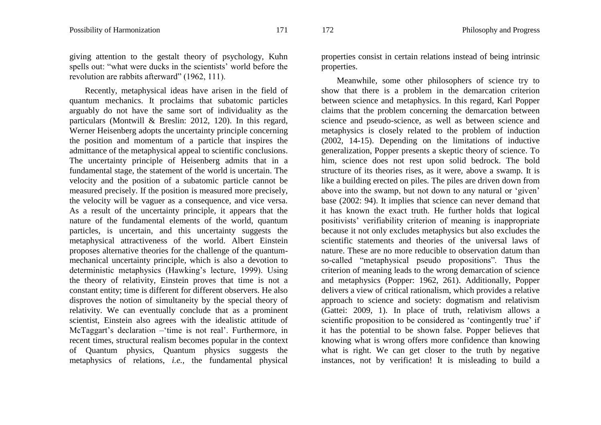giving attention to the gestalt theory of psychology, Kuhn spells out: "what were ducks in the scientists' world before the revolution are rabbits afterward" (1962, 111).

Recently, metaphysical ideas have arisen in the field of quantum mechanics. It proclaims that subatomic particles arguably do not have the same sort of individuality as the particulars (Montwill & Breslin: 2012, 120). In this regard, Werner Heisenberg adopts the uncertainty principle concerning the position and momentum of a particle that inspires the admittance of the metaphysical appeal to scientific conclusions. The uncertainty principle of Heisenberg admits that in a fundamental stage, the statement of the world is uncertain. The velocity and the position of a subatomic particle cannot be measured precisely. If the position is measured more precisely, the velocity will be vaguer as a consequence, and vice versa. As a result of the uncertainty principle, it appears that the nature of the fundamental elements of the world, quantum particles, is uncertain, and this uncertainty suggests the metaphysical attractiveness of the world. Albert Einstein proposes alternative theories for the challenge of the quantummechanical uncertainty principle, which is also a devotion to deterministic metaphysics (Hawking's lecture, 1999). Using the theory of relativity, Einstein proves that time is not a constant entity; time is different for different observers. He also disproves the notion of simultaneity by the special theory of relativity. We can eventually conclude that as a prominent scientist, Einstein also agrees with the idealistic attitude of McTaggart's declaration – time is not real'. Furthermore, in recent times, structural realism becomes popular in the context of Quantum physics, Quantum physics suggests the metaphysics of relations, *i.e.,* the fundamental physical

properties consist in certain relations instead of being intrinsic properties.

Meanwhile, some other philosophers of science try to show that there is a problem in the demarcation criterion between science and metaphysics. In this regard, Karl Popper claims that the problem concerning the demarcation between science and pseudo-science, as well as between science and metaphysics is closely related to the problem of induction (2002, 14-15). Depending on the limitations of inductive generalization, Popper presents a skeptic theory of science. To him, science does not rest upon solid bedrock. The bold structure of its theories rises, as it were, above a swamp. It is like a building erected on piles. The piles are driven down from above into the swamp, but not down to any natural or "given" base (2002: 94). It implies that science can never demand that it has known the exact truth. He further holds that logical positivists" verifiability criterion of meaning is inappropriate because it not only excludes metaphysics but also excludes the scientific statements and theories of the universal laws of nature. These are no more reducible to observation datum than so-called "metaphysical pseudo propositions". Thus the criterion of meaning leads to the wrong demarcation of science and metaphysics (Popper: 1962, 261). Additionally, Popper delivers a view of critical rationalism, which provides a relative approach to science and society: dogmatism and relativism (Gattei: 2009, 1). In place of truth, relativism allows a scientific proposition to be considered as 'contingently true' if it has the potential to be shown false. Popper believes that knowing what is wrong offers more confidence than knowing what is right. We can get closer to the truth by negative instances, not by verification! It is misleading to build a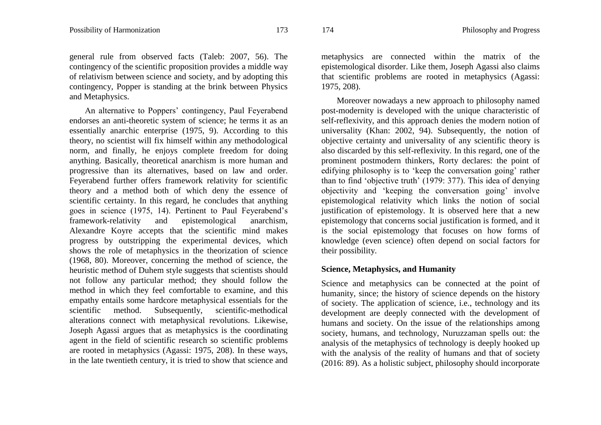general rule from observed facts (Taleb: 2007, 56). The contingency of the scientific proposition provides a middle way of relativism between science and society, and by adopting this contingency, Popper is standing at the brink between Physics and Metaphysics.

An alternative to Poppers' contingency, Paul Feyerabend endorses an anti-theoretic system of science; he terms it as an essentially anarchic enterprise (1975, 9). According to this theory, no scientist will fix himself within any methodological norm, and finally, he enjoys complete freedom for doing anything. Basically, theoretical anarchism is more human and progressive than its alternatives, based on law and order. Feyerabend further offers framework relativity for scientific theory and a method both of which deny the essence of scientific certainty. In this regard, he concludes that anything goes in science (1975, 14). Pertinent to Paul Feyerabend"s framework-relativity and epistemological anarchism, Alexandre Koyre accepts that the scientific mind makes progress by outstripping the experimental devices, which shows the role of metaphysics in the theorization of science (1968, 80). Moreover, concerning the method of science, the heuristic method of Duhem style suggests that scientists should not follow any particular method; they should follow the method in which they feel comfortable to examine, and this empathy entails some hardcore metaphysical essentials for the scientific method. Subsequently, scientific-methodical alterations connect with metaphysical revolutions. Likewise, Joseph Agassi argues that as metaphysics is the coordinating agent in the field of scientific research so scientific problems are rooted in metaphysics (Agassi: 1975, 208). In these ways, in the late twentieth century, it is tried to show that science and

metaphysics are connected within the matrix of the epistemological disorder. Like them, Joseph Agassi also claims that scientific problems are rooted in metaphysics (Agassi: 1975, 208).

Moreover nowadays a new approach to philosophy named post-modernity is developed with the unique characteristic of self-reflexivity, and this approach denies the modern notion of universality (Khan: 2002, 94). Subsequently, the notion of objective certainty and universality of any scientific theory is also discarded by this self-reflexivity. In this regard, one of the prominent postmodern thinkers, Rorty declares: the point of edifying philosophy is to 'keep the conversation going' rather than to find 'objective truth' (1979: 377). This idea of denying objectivity and 'keeping the conversation going' involve epistemological relativity which links the notion of social justification of epistemology. It is observed here that a new epistemology that concerns social justification is formed, and it is the social epistemology that focuses on how forms of knowledge (even science) often depend on social factors for their possibility.

#### **Science, Metaphysics, and Humanity**

Science and metaphysics can be connected at the point of humanity, since; the history of science depends on the history of society. The application of science, i.e., technology and its development are deeply connected with the development of humans and society. On the issue of the relationships among society, humans, and technology, Nuruzzaman spells out: the analysis of the metaphysics of technology is deeply hooked up with the analysis of the reality of humans and that of society (2016: 89). As a holistic subject, philosophy should incorporate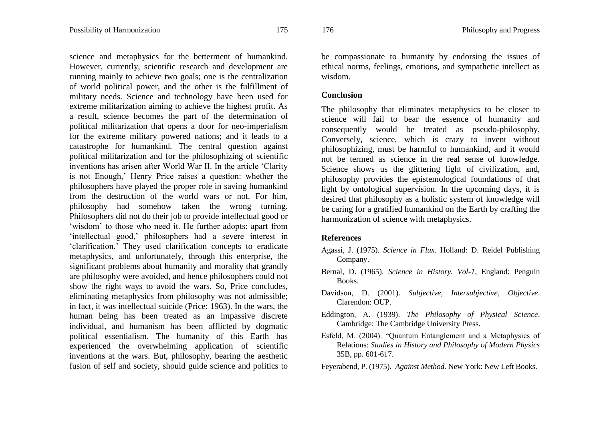science and metaphysics for the betterment of humankind. However, currently, scientific research and development are running mainly to achieve two goals; one is the centralization of world political power, and the other is the fulfillment of military needs. Science and technology have been used for extreme militarization aiming to achieve the highest profit. As a result, science becomes the part of the determination of political militarization that opens a door for neo-imperialism for the extreme military powered nations; and it leads to a catastrophe for humankind. The central question against political militarization and for the philosophizing of scientific inventions has arisen after World War II. In the article "Clarity is not Enough,' Henry Price raises a question: whether the philosophers have played the proper role in saving humankind from the destruction of the world wars or not. For him, philosophy had somehow taken the wrong turning. Philosophers did not do their job to provide intellectual good or 'wisdom' to those who need it. He further adopts: apart from "intellectual good," philosophers had a severe interest in "clarification." They used clarification concepts to eradicate metaphysics, and unfortunately, through this enterprise, the significant problems about humanity and morality that grandly are philosophy were avoided, and hence philosophers could not show the right ways to avoid the wars. So, Price concludes, eliminating metaphysics from philosophy was not admissible; in fact, it was intellectual suicide (Price: 1963). In the wars, the human being has been treated as an impassive discrete individual, and humanism has been afflicted by dogmatic political essentialism. The humanity of this Earth has experienced the overwhelming application of scientific inventions at the wars. But, philosophy, bearing the aesthetic fusion of self and society, should guide science and politics to

be compassionate to humanity by endorsing the issues of ethical norms, feelings, emotions, and sympathetic intellect as wisdom.

#### **Conclusion**

The philosophy that eliminates metaphysics to be closer to science will fail to bear the essence of humanity and consequently would be treated as pseudo-philosophy. Conversely, science, which is crazy to invent without philosophizing, must be harmful to humankind, and it would not be termed as science in the real sense of knowledge. Science shows us the glittering light of civilization, and, philosophy provides the epistemological foundations of that light by ontological supervision. In the upcoming days, it is desired that philosophy as a holistic system of knowledge will be caring for a gratified humankind on the Earth by crafting the harmonization of science with metaphysics.

#### **References**

- Agassi, J. (1975). *Science in Flux*. Holland: D. Reidel Publishing Company.
- Bernal, D. (1965). *Science in History. Vol-1,* England: Penguin Books.
- Davidson, D. (2001). *Subjective, Intersubjective, Objective*. Clarendon: OUP.
- Eddington, A. (1939). *The Philosophy of Physical Science*. Cambridge: The Cambridge University Press.
- Esfeld, M. (2004). "Quantum Entanglement and a Metaphysics of Relations: *Studies in History and Philosophy of Modern Physics* 35B, pp. 601-617.
- Feyerabend, P. (1975). *Against Method*. New York: New Left Books.